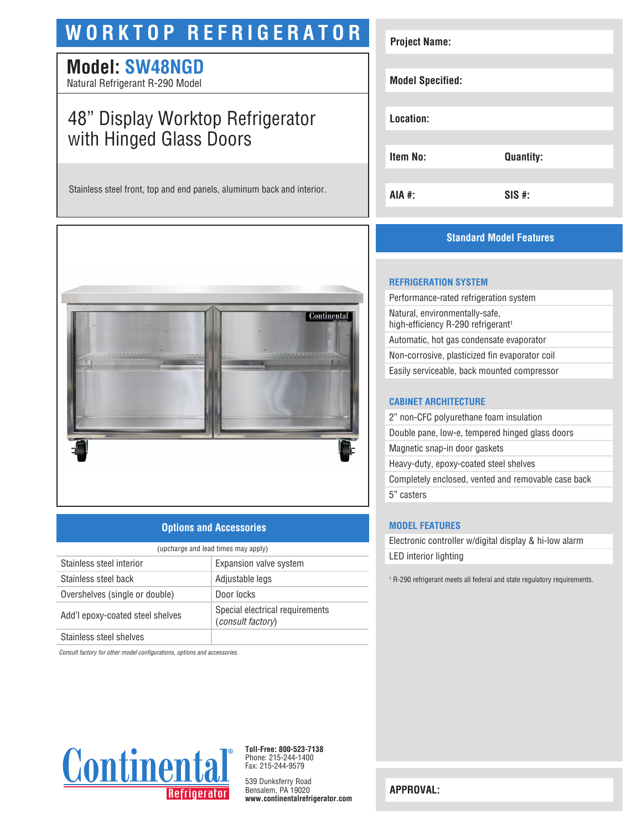# **WORKTOP REFRIGERATOR**

### **Model: SW48NGD**

Natural Refrigerant R-290 Model

## 48" Display Worktop Refrigerator with Hinged Glass Doors

Stainless steel front, top and end panels, aluminum back and interior.



### **Options and Accessories**

| (upcharge and lead times may apply) |                                                      |  |
|-------------------------------------|------------------------------------------------------|--|
| Stainless steel interior            | Expansion valve system                               |  |
| Stainless steel back                | Adjustable legs                                      |  |
| Overshelves (single or double)      | Door locks                                           |  |
| Add'l epoxy-coated steel shelves    | Special electrical requirements<br>(consult factory) |  |
| Chainlean sheal shall is a          |                                                      |  |

Stainless steel shelves

*Consult factory for other model configurations, options and accessories.*



**Toll-Free: 800-523-7138** Phone: 215-244-1400 Fax: 215-244-9579

539 Dunksferry Road Bensalem, PA 19020 **www.continentalrefrigerator.com** 

| <b>Project Name:</b>    |                  |
|-------------------------|------------------|
| <b>Model Specified:</b> |                  |
| Location:               |                  |
| Item No:                | <b>Quantity:</b> |
| AIA #:                  | $SIS$ #:         |

### **Standard Model Features**

#### **REFRIGERATION SYSTEM**

Performance-rated refrigeration system Natural, environmentally-safe, high-efficiency R-290 refrigerant<sup>1</sup> Automatic, hot gas condensate evaporator Non-corrosive, plasticized fin evaporator coil Easily serviceable, back mounted compressor

#### **CABINET ARCHITECTURE**

2" non-CFC polyurethane foam insulation Double pane, low-e, tempered hinged glass doors Magnetic snap-in door gaskets Heavy-duty, epoxy-coated steel shelves Completely enclosed, vented and removable case back 5" casters

#### **MODEL FEATURES**

Electronic controller w/digital display & hi-low alarm LED interior lighting

<sup>1</sup> R-290 refrigerant meets all federal and state regulatory requirements.

**APPROVAL:**